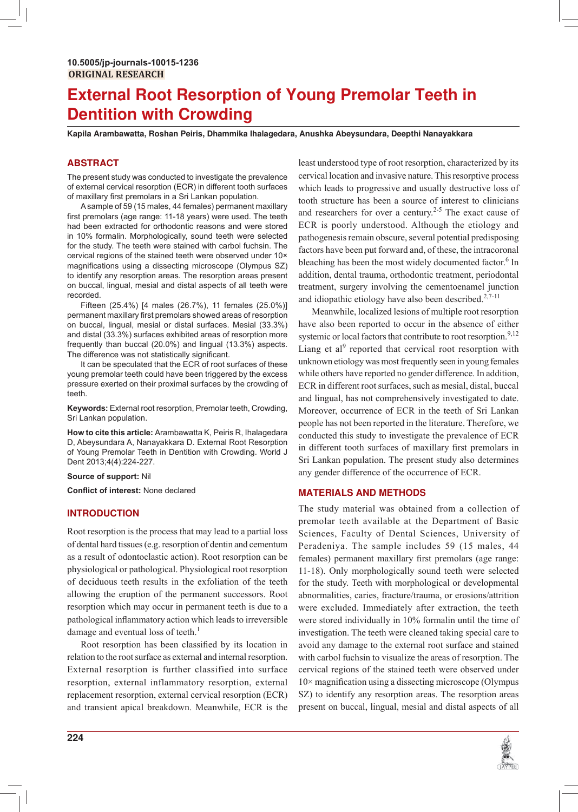# **External Root Resorption of Young Premolar Teeth in Dentition with Crowding**

**Kapila Arambawatta, Roshan Peiris, Dhammika Ihalagedara, Anushka Abeysundara, Deepthi Nanayakkara**

## **ABSTRACT**

The present study was conducted to investigate the prevalence of external cervical resorption (ECR) in different tooth surfaces of maxillary first premolars in a Sri Lankan population.

 A sample of 59 (15 males, 44 females) permanent maxillary first premolars (age range: 11-18 years) were used. The teeth had been extracted for orthodontic reasons and were stored in 10% formalin. Morphologically, sound teeth were selected for the study. The teeth were stained with carbol fuchsin. The cervical regions of the stained teeth were observed under 10× magnifications using a dissecting microscope (Olympus SZ) to identify any resorption areas. The resorption areas present on buccal, lingual, mesial and distal aspects of all teeth were recorded.

Fifteen (25.4%) [4 males (26.7%), 11 females (25.0%)] permanent maxillary first premolars showed areas of resorption on buccal, lingual, mesial or distal surfaces. Mesial (33.3%) and distal (33.3%) surfaces exhibited areas of resorption more frequently than buccal (20.0%) and lingual (13.3%) aspects. The difference was not statistically significant.

 It can be speculated that the ECR of root surfaces of these young premolar teeth could have been triggered by the excess pressure exerted on their proximal surfaces by the crowding of teeth.

**Keywords:** External root resorption, Premolar teeth, Crowding, Sri Lankan population.

**How to cite this article:** Arambawatta K, Peiris R, Ihalagedara D, Abeysundara A, Nanayakkara D. External Root Resorption of Young Premolar Teeth in Dentition with Crowding. World J Dent 2013;4(4):224-227.

**Source of support:** Nil

 $\bf{Conflict}$  of interest: None declared

## **INTRODUCTION**

Root resorption is the process that may lead to a partial loss of dental hard tissues (e.g. resorption of dentin and cementum as a result of odontoclastic action). Root resorption can be physiological or pathological. Physiological root resorption of deciduous teeth results in the exfoliation of the teeth allowing the eruption of the permanent successors. Root resorption which may occur in permanent teeth is due to a pathological inflammatory action which leads to irreversible damage and eventual loss of teeth. $<sup>1</sup>$ </sup>

Root resorption has been classified by its location in relation to the root surface as external and internal resorption. External resorption is further classified into surface resorption, external inflammatory resorption, external replacement resorption, external cervical resorption (ECR) and transient apical breakdown. Meanwhile, ECR is the

**224**

least understood type of root resorption, characterized by its cervical location and invasive nature. This resorptive process which leads to progressive and usually destructive loss of tooth structure has been a source of interest to clinicians and researchers for over a century.<sup>2-5</sup> The exact cause of ECR is poorly understood. Although the etiology and pathogenesis remain obscure, several potential predisposing factors have been put forward and, of these, the intracoronal bleaching has been the most widely documented factor.<sup>6</sup> In addition, dental trauma, orthodontic treatment, periodontal treatment, surgery involving the cementoenamel junction and idiopathic etiology have also been described.<sup>2,7-11</sup>

Meanwhile, localized lesions of multiple root resorption have also been reported to occur in the absence of either systemic or local factors that contribute to root resorption.<sup>9,12</sup> Liang et al<sup>9</sup> reported that cervical root resorption with unknown etiology was most frequently seen in young females while others have reported no gender difference. In addition, ECR in different root surfaces, such as mesial, distal, buccal and lingual, has not comprehensively investigated to date. Moreover, occurrence of ECR in the teeth of Sri Lankan people has not been reported in the literature. Therefore, we conducted this study to investigate the prevalence of ECR in different tooth surfaces of maxillary first premolars in Sri Lankan population. The present study also determines any gender difference of the occurrence of ECR.

## **MATERIALS AND METHODS**

The study material was obtained from a collection of premolar teeth available at the Department of Basic Sciences, Faculty of Dental Sciences, University of Peradeniya. The sample includes 59 (15 males, 44 females) permanent maxillary first premolars (age range: 11-18). Only morphologically sound teeth were selected for the study. Teeth with morphological or developmental abnormalities, caries, fracture/trauma, or erosions/attrition were excluded. Immediately after extraction, the teeth were stored individually in 10% formalin until the time of investigation. The teeth were cleaned taking special care to avoid any damage to the external root surface and stained with carbol fuchsin to visualize the areas of resorption. The cervical regions of the stained teeth were observed under  $10\times$  magnification using a dissecting microscope (Olympus SZ) to identify any resorption areas. The resorption areas present on buccal, lingual, mesial and distal aspects of all

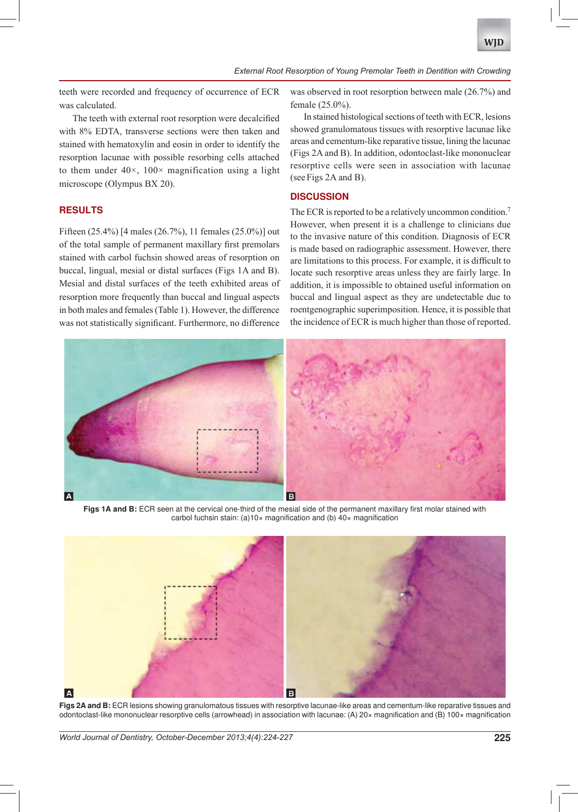**WID** 

teeth were recorded and frequency of occurrence of ECR was calculated.

The teeth with external root resorption were decalcified with 8% EDTA, transverse sections were then taken and stained with hematoxylin and eosin in order to identify the resorption lacunae with possible resorbing cells attached to them under  $40 \times$ ,  $100 \times$  magnification using a light microscope (Olympus BX 20).

## **RESULTS**

Fifteen (25.4%) [4 males (26.7%), 11 females (25.0%)] out of the total sample of permanent maxillary first premolars stained with carbol fuchsin showed areas of resorption on buccal, lingual, mesial or distal surfaces (Figs 1A and B). Mesial and distal surfaces of the teeth exhibited areas of resorption more frequently than buccal and lingual aspects in both males and females (Table 1). However, the difference was not statistically significant. Furthermore, no difference

was observed in root resorption between male (26.7%) and female (25.0%).

In stained histological sections of teeth with ECR, lesions showed granulomatous tissues with resorptive lacunae like areas and cementum-like reparative tissue, lining the lacunae (Figs 2A and B). In addition, odontoclast-like mononuclear resorptive cells were seen in association with lacunae (see Figs 2A and B).

## **DISCUSSION**

The ECR is reported to be a relatively uncommon condition. However, when present it is a challenge to clinicians due to the invasive nature of this condition. Diagnosis of ECR is made based on radiographic assessment. However, there are limitations to this process. For example, it is difficult to locate such resorptive areas unless they are fairly large. In addition, it is impossible to obtained useful information on buccal and lingual aspect as they are undetectable due to roentgenographic superimposition. Hence, it is possible that the incidence of ECR is much higher than those of reported.



Figs 1A and B: ECR seen at the cervical one-third of the mesial side of the permanent maxillary first molar stained with carbol fuchsin stain: (a)10 $\times$  magnification and (b) 40 $\times$  magnification



Figs 2A and B: ECR lesions showing granulomatous tissues with resorptive lacunae-like areas and cementum-like reparative tissues and odontoclast-like mononuclear resorptive cells (arrowhead) in association with lacunae: (A) 20x magnification and (B) 100x magnification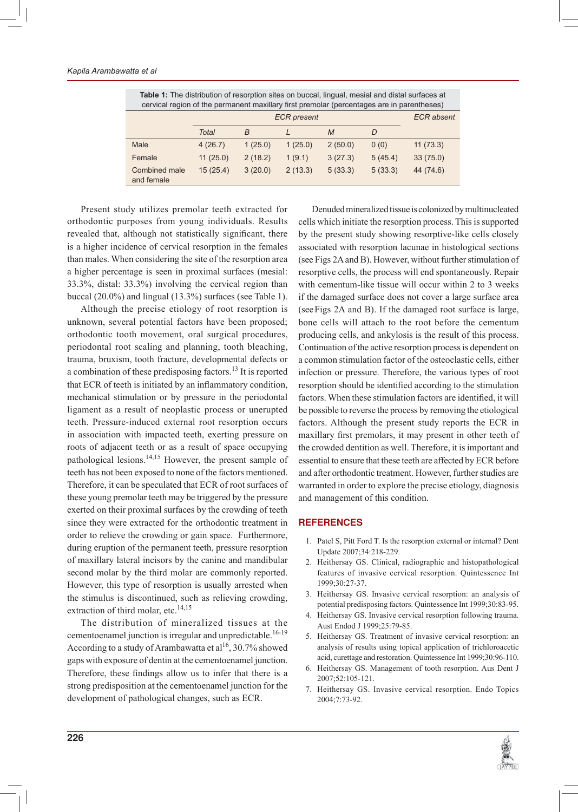| <b>Table 1:</b> The distribution of resorption sites on buccal, lingual, mesial and distal surfaces at<br>cervical region of the permanent maxillary first premolar (percentages are in parentheses) |                    |         |         |         |         |                   |
|------------------------------------------------------------------------------------------------------------------------------------------------------------------------------------------------------|--------------------|---------|---------|---------|---------|-------------------|
|                                                                                                                                                                                                      | <b>ECR</b> present |         |         |         |         | <b>ECR</b> absent |
|                                                                                                                                                                                                      | <b>Total</b>       | B       |         | M       | D       |                   |
| Male                                                                                                                                                                                                 | 4(26.7)            | 1(25.0) | 1(25.0) | 2(50.0) | 0(0)    | 11(73.3)          |
| Female                                                                                                                                                                                               | 11(25.0)           | 2(18.2) | 1(9.1)  | 3(27.3) | 5(45.4) | 33(75.0)          |
| Combined male<br>and female                                                                                                                                                                          | 15(25.4)           | 3(20.0) | 2(13.3) | 5(33.3) | 5(33.3) | 44 (74.6)         |

Present study utilizes premolar teeth extracted for orthodontic purposes from young individuals. Results revealed that, although not statistically significant, there is a higher incidence of cervical resorption in the females than males. When considering the site of the resorption area a higher percentage is seen in proximal surfaces (mesial:  $33.3\%$ , distal:  $33.3\%$ ) involving the cervical region than buccal  $(20.0\%)$  and lingual  $(13.3\%)$  surfaces (see Table 1).

Although the precise etiology of root resorption is unknown, several potential factors have been proposed; orthodontic tooth movement, oral surgical procedures, periodontal root scaling and planning, tooth bleaching, trauma, bruxism, tooth fracture, developmental defects or a combination of these predisposing factors.<sup>13</sup> It is reported that ECR of teeth is initiated by an inflammatory condition, mechanical stimulation or by pressure in the periodontal ligament as a result of neoplastic process or unerupted teeth. Pressure-induced external root resorption occurs in association with impacted teeth, exerting pressure on roots of adjacent teeth or as a result of space occupying pathological lesions.  $\frac{14,15}{14}$  However, the present sample of teeth has not been exposed to none of the factors mentioned. Therefore, it can be speculated that ECR of root surfaces of these young premolar teeth may be triggered by the pressure exerted on their proximal surfaces by the crowding of teeth since they were extracted for the orthodontic treatment in order to relieve the crowding or gain space. Furthermore, during eruption of the permanent teeth, pressure resorption of maxillary lateral incisors by the canine and mandibular second molar by the third molar are commonly reported. However, this type of resorption is usually arrested when the stimulus is discontinued, such as relieving crowding, extraction of third molar, etc.<sup>14,15</sup>

The distribution of mineralized tissues at the cementoenamel junction is irregular and unpredictable.<sup>16-19</sup> According to a study of Arambawatta et al<sup>16</sup>, 30.7% showed gaps with exposure of dentin at the cementoenamel junction. Therefore, these findings allow us to infer that there is a strong predisposition at the cementoenamel junction for the development of pathological changes, such as ECR.

Denuded mineralized tissue is colonized by multinucleated cells which initiate the resorption process. This is supported by the present study showing resorptive-like cells closely associated with resorption lacunae in histological sections (see Figs  $2A$  and B). However, without further stimulation of resorptive cells, the process will end spontaneously. Repair with cementum-like tissue will occur within 2 to 3 weeks if the damaged surface does not cover a large surface area (see Figs 2A and B). If the damaged root surface is large, bone cells will attach to the root before the cementum producing cells, and ankylosis is the result of this process. Continuation of the active resorption process is dependent on a common stimulation factor of the osteoclastic cells, either infection or pressure. Therefore, the various types of root resorption should be identified according to the stimulation factors. When these stimulation factors are identified, it will be possible to reverse the process by removing the etiological factors. Although the present study reports the ECR in maxillary first premolars, it may present in other teeth of the crowded dentition as well. Therefore, it is important and essential to ensure that these teeth are affected by ECR before and after orthodontic treatment. However, further studies are warranted in order to explore the precise etiology, diagnosis and management of this condition.

#### **REFERENCES**

- 1. Patel S, Pitt Ford T. Is the resorption external or internal? Dent Update 2007;34:218-229.
- 2. Heithersay GS. Clinical, radiographic and histopathological features of invasive cervical resorption. Quintessence Int 1999;30:27-37.
- 3. Heithersay GS. Invasive cervical resorption: an analysis of potential predisposing factors. Quintessence Int 1999;30:83-95.
- 4. Heithersay GS. Invasive cervical resorption following trauma. Aust Endod J 1999:25:79-85.
- 5. Heithersay GS. Treatment of invasive cervical resorption: an analysis of results using topical application of trichloroacetic acid, curettage and restoration. Quintessence Int 1999;30:96-110.
- 6. Heithersay GS. Management of tooth resorption. Aus Dent J 2007;52:105-121.
- 7. Heithersay GS. Invasive cervical resorption. Endo Topics 2004:7:73-92.